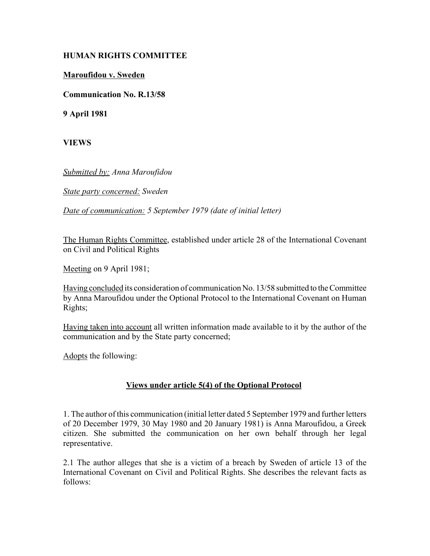## **HUMAN RIGHTS COMMITTEE**

## **Maroufidou v. Sweden**

**Communication No. R.13/58**

**9 April 1981**

**VIEWS**

*Submitted by: Anna Maroufidou* 

*State party concerned: Sweden* 

*Date of communication: 5 September 1979 (date of initial letter)* 

The Human Rights Committee, established under article 28 of the International Covenant on Civil and Political Rights

Meeting on 9 April 1981;

Having concluded its consideration of communication No. 13/58 submitted to the Committee by Anna Maroufidou under the Optional Protocol to the International Covenant on Human Rights;

Having taken into account all written information made available to it by the author of the communication and by the State party concerned;

Adopts the following:

## **Views under article 5(4) of the Optional Protocol**

1. The author of this communication (initial letter dated 5 September 1979 and further letters of 20 December 1979, 30 May 1980 and 20 January 1981) is Anna Maroufidou, a Greek citizen. She submitted the communication on her own behalf through her legal representative.

2.1 The author alleges that she is a victim of a breach by Sweden of article 13 of the International Covenant on Civil and Political Rights. She describes the relevant facts as follows: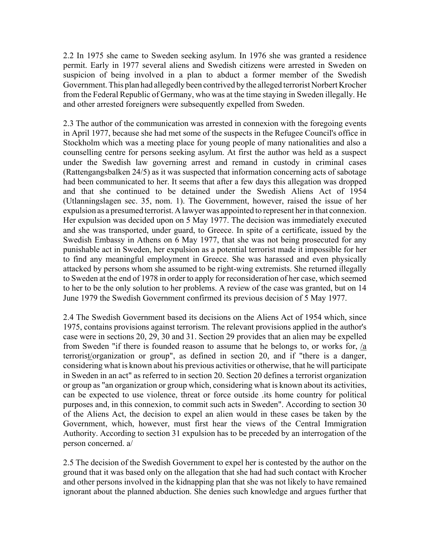2.2 In 1975 she came to Sweden seeking asylum. In 1976 she was granted a residence permit. Early in 1977 several aliens and Swedish citizens were arrested in Sweden on suspicion of being involved in a plan to abduct a former member of the Swedish Government. This plan had allegedly been contrived by the alleged terrorist Norbert Krocher from the Federal Republic of Germany, who was at the time staying in Sweden illegally. He and other arrested foreigners were subsequently expelled from Sweden.

2.3 The author of the communication was arrested in connexion with the foregoing events in April 1977, because she had met some of the suspects in the Refugee Council's office in Stockholm which was a meeting place for young people of many nationalities and also a counselling centre for persons seeking asylum. At first the author was held as a suspect under the Swedish law governing arrest and remand in custody in criminal cases (Rattengangsbalken 24/5) as it was suspected that information concerning acts of sabotage had been communicated to her. It seems that after a few days this allegation was dropped and that she continued to be detained under the Swedish Aliens Act of 1954 (Utlanningslagen sec. 35, nom. 1). The Government, however, raised the issue of her expulsion as a presumed terrorist. A lawyer was appointed to represent her in that connexion. Her expulsion was decided upon on 5 May 1977. The decision was immediately executed and she was transported, under guard, to Greece. In spite of a certificate, issued by the Swedish Embassy in Athens on 6 May 1977, that she was not being prosecuted for any punishable act in Sweden, her expulsion as a potential terrorist made it impossible for her to find any meaningful employment in Greece. She was harassed and even physically attacked by persons whom she assumed to be right-wing extremists. She returned illegally to Sweden at the end of 1978 in order to apply for reconsideration of her case, which seemed to her to be the only solution to her problems. A review of the case was granted, but on 14 June 1979 the Swedish Government confirmed its previous decision of 5 May 1977.

2.4 The Swedish Government based its decisions on the Aliens Act of 1954 which, since 1975, contains provisions against terrorism. The relevant provisions applied in the author's case were in sections 20, 29, 30 and 31. Section 29 provides that an alien may be expelled from Sweden "if there is founded reason to assume that he belongs to, or works for, /a terrorist/organization or group", as defined in section 20, and if "there is a danger, considering what is known about his previous activities or otherwise, that he will participate in Sweden in an act" as referred to in section 20. Section 20 defines a terrorist organization or group as "an organization or group which, considering what is known about its activities, can be expected to use violence, threat or force outside .its home country for political purposes and, in this connexion, to commit such acts in Sweden". According to section 30 of the Aliens Act, the decision to expel an alien would in these cases be taken by the Government, which, however, must first hear the views of the Central Immigration Authority. According to section 31 expulsion has to be preceded by an interrogation of the person concerned. a/

2.5 The decision of the Swedish Government to expel her is contested by the author on the ground that it was based only on the allegation that she had had such contact with Krocher and other persons involved in the kidnapping plan that she was not likely to have remained ignorant about the planned abduction. She denies such knowledge and argues further that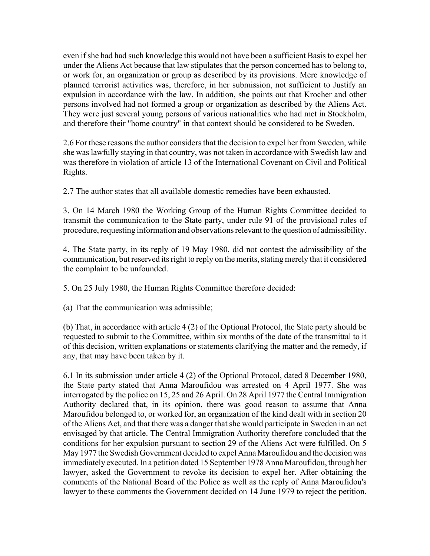even if she had had such knowledge this would not have been a sufficient Basis to expel her under the Aliens Act because that law stipulates that the person concerned has to belong to, or work for, an organization or group as described by its provisions. Mere knowledge of planned terrorist activities was, therefore, in her submission, not sufficient to Justify an expulsion in accordance with the law. In addition, she points out that Krocher and other persons involved had not formed a group or organization as described by the Aliens Act. They were just several young persons of various nationalities who had met in Stockholm, and therefore their "home country" in that context should be considered to be Sweden.

2.6 For these reasons the author considers that the decision to expel her from Sweden, while she was lawfully staying in that country, was not taken in accordance with Swedish law and was therefore in violation of article 13 of the International Covenant on Civil and Political Rights.

2.7 The author states that all available domestic remedies have been exhausted.

3. On 14 March 1980 the Working Group of the Human Rights Committee decided to transmit the communication to the State party, under rule 91 of the provisional rules of procedure, requesting information and observations relevant to the question of admissibility.

4. The State party, in its reply of 19 May 1980, did not contest the admissibility of the communication, but reserved its right to reply on the merits, stating merely that it considered the complaint to be unfounded.

5. On 25 July 1980, the Human Rights Committee therefore decided:

(a) That the communication was admissible;

(b) That, in accordance with article 4 (2) of the Optional Protocol, the State party should be requested to submit to the Committee, within six months of the date of the transmittal to it of this decision, written explanations or statements clarifying the matter and the remedy, if any, that may have been taken by it.

6.1 In its submission under article 4 (2) of the Optional Protocol, dated 8 December 1980, the State party stated that Anna Maroufidou was arrested on 4 April 1977. She was interrogated by the police on 15, 25 and 26 April. On 28 April 1977 the Central Immigration Authority declared that, in its opinion, there was good reason to assume that Anna Maroufidou belonged to, or worked for, an organization of the kind dealt with in section 20 of the Aliens Act, and that there was a danger that she would participate in Sweden in an act envisaged by that article. The Central Immigration Authority therefore concluded that the conditions for her expulsion pursuant to section 29 of the Aliens Act were fulfilled. On 5 May 1977 the Swedish Government decided to expel Anna Maroufidou and the decision was immediately executed. In a petition dated 15 September 1978 Anna Maroufidou, through her lawyer, asked the Government to revoke its decision to expel her. After obtaining the comments of the National Board of the Police as well as the reply of Anna Maroufidou's lawyer to these comments the Government decided on 14 June 1979 to reject the petition.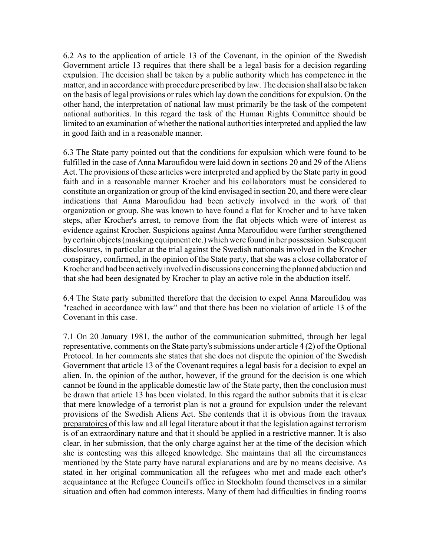6.2 As to the application of article 13 of the Covenant, in the opinion of the Swedish Government article 13 requires that there shall be a legal basis for a decision regarding expulsion. The decision shall be taken by a public authority which has competence in the matter, and in accordance with procedure prescribed by law. The decision shall also be taken on the basis of legal provisions or rules which lay down the conditions for expulsion. On the other hand, the interpretation of national law must primarily be the task of the competent national authorities. In this regard the task of the Human Rights Committee should be limited to an examination of whether the national authorities interpreted and applied the law in good faith and in a reasonable manner.

6.3 The State party pointed out that the conditions for expulsion which were found to be fulfilled in the case of Anna Maroufidou were laid down in sections 20 and 29 of the Aliens Act. The provisions of these articles were interpreted and applied by the State party in good faith and in a reasonable manner Krocher and his collaborators must be considered to constitute an organization or group of the kind envisaged in section 20, and there were clear indications that Anna Maroufidou had been actively involved in the work of that organization or group. She was known to have found a flat for Krocher and to have taken steps, after Krocher's arrest, to remove from the flat objects which were of interest as evidence against Krocher. Suspicions against Anna Maroufidou were further strengthened by certain objects (masking equipment etc.) which were found in her possession. Subsequent disclosures, in particular at the trial against the Swedish nationals involved in the Krocher conspiracy, confirmed, in the opinion of the State party, that she was a close collaborator of Krocher and had been actively involved in discussions concerning the planned abduction and that she had been designated by Krocher to play an active role in the abduction itself.

6.4 The State party submitted therefore that the decision to expel Anna Maroufidou was "reached in accordance with law" and that there has been no violation of article 13 of the Covenant in this case.

7.1 On 20 January 1981, the author of the communication submitted, through her legal representative, comments on the State party's submissions under article 4 (2) of the Optional Protocol. In her comments she states that she does not dispute the opinion of the Swedish Government that article 13 of the Covenant requires a legal basis for a decision to expel an alien. In. the opinion of the author, however, if the ground for the decision is one which cannot be found in the applicable domestic law of the State party, then the conclusion must be drawn that article 13 has been violated. In this regard the author submits that it is clear that mere knowledge of a terrorist plan is not a ground for expulsion under the relevant provisions of the Swedish Aliens Act. She contends that it is obvious from the travaux preparatoires of this law and all legal literature about it that the legislation against terrorism is of an extraordinary nature and that it should be applied in a restrictive manner. It is also clear, in her submission, that the only charge against her at the time of the decision which she is contesting was this alleged knowledge. She maintains that all the circumstances mentioned by the State party have natural explanations and are by no means decisive. As stated in her original communication all the refugees who met and made each other's acquaintance at the Refugee Council's office in Stockholm found themselves in a similar situation and often had common interests. Many of them had difficulties in finding rooms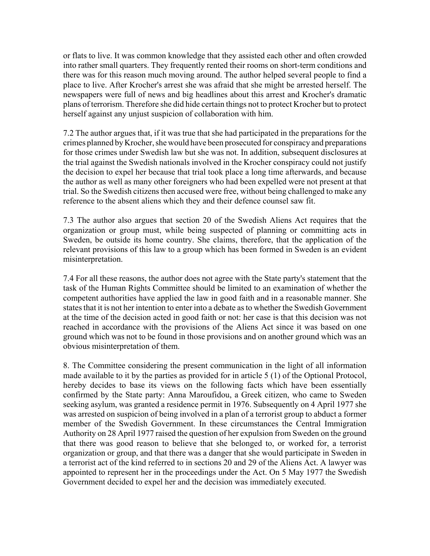or flats to live. It was common knowledge that they assisted each other and often crowded into rather small quarters. They frequently rented their rooms on short-term conditions and there was for this reason much moving around. The author helped several people to find a place to live. After Krocher's arrest she was afraid that she might be arrested herself. The newspapers were full of news and big headlines about this arrest and Krocher's dramatic plans of terrorism. Therefore she did hide certain things not to protect Krocher but to protect herself against any unjust suspicion of collaboration with him.

7.2 The author argues that, if it was true that she had participated in the preparations for the crimes planned by Krocher, she would have been prosecuted for conspiracy and preparations for those crimes under Swedish law but she was not. In addition, subsequent disclosures at the trial against the Swedish nationals involved in the Krocher conspiracy could not justify the decision to expel her because that trial took place a long time afterwards, and because the author as well as many other foreigners who had been expelled were not present at that trial. So the Swedish citizens then accused were free, without being challenged to make any reference to the absent aliens which they and their defence counsel saw fit.

7.3 The author also argues that section 20 of the Swedish Aliens Act requires that the organization or group must, while being suspected of planning or committing acts in Sweden, be outside its home country. She claims, therefore, that the application of the relevant provisions of this law to a group which has been formed in Sweden is an evident misinterpretation.

7.4 For all these reasons, the author does not agree with the State party's statement that the task of the Human Rights Committee should be limited to an examination of whether the competent authorities have applied the law in good faith and in a reasonable manner. She states that it is not her intention to enter into a debate as to whether the Swedish Government at the time of the decision acted in good faith or not: her case is that this decision was not reached in accordance with the provisions of the Aliens Act since it was based on one ground which was not to be found in those provisions and on another ground which was an obvious misinterpretation of them.

8. The Committee considering the present communication in the light of all information made available to it by the parties as provided for in article 5 (1) of the Optional Protocol, hereby decides to base its views on the following facts which have been essentially confirmed by the State party: Anna Maroufidou, a Greek citizen, who came to Sweden seeking asylum, was granted a residence permit in 1976. Subsequently on 4 April 1977 she was arrested on suspicion of being involved in a plan of a terrorist group to abduct a former member of the Swedish Government. In these circumstances the Central Immigration Authority on 28 April 1977 raised the question of her expulsion from Sweden on the ground that there was good reason to believe that she belonged to, or worked for, a terrorist organization or group, and that there was a danger that she would participate in Sweden in a terrorist act of the kind referred to in sections 20 and 29 of the Aliens Act. A lawyer was appointed to represent her in the proceedings under the Act. On 5 May 1977 the Swedish Government decided to expel her and the decision was immediately executed.